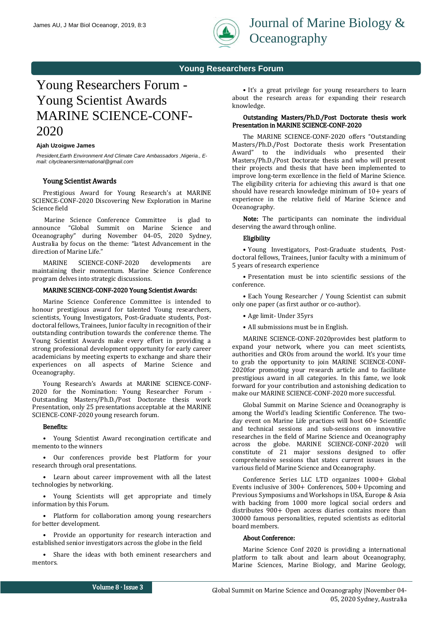

Journal of Marine Biology & **Oceanography** 

## **Young Researchers Forum**

# Young Researchers Forum - Young Scientist Awards MARINE SCIENCE-CONF-2020

#### **Ajah Uzoigwe James**

 *President,Earth Environment And Climate Care Ambassadors ,Nigeria., Email: citycleanersinternational@gmail.com*

#### Young Scientist Awards

Prestigious Award for Young Research's at MARINE SCIENCE-CONF-2020 Discovering New Exploration in Marine Science field

Marine Science Conference Committee is glad to announce "Global Summit on Marine Science and Oceanography" during November 04-05, 2020 Sydney, Australia by focus on the theme: "latest Advancement in the direction of Marine Life."

MARINE SCIENCE-CONF-2020 developments are maintaining their momentum. Marine Science Conference program delves into strategic discussions.

## MARINE SCIENCE-CONF-2020 Young Scientist Awards:

Marine Science Conference Committee is intended to honour prestigious award for talented Young researchers, scientists, Young Investigators, Post-Graduate students, Postdoctoral fellows, Trainees, Junior faculty in recognition of their outstanding contribution towards the conference theme. The Young Scientist Awards make every effort in providing a strong professional development opportunity for early career academicians by meeting experts to exchange and share their experiences on all aspects of Marine Science and Oceanography.

Young Research's Awards at MARINE SCIENCE-CONF-2020 for the Nomination: Young Researcher Forum - Outstanding Masters/Ph.D./Post Doctorate thesis work Presentation, only 25 presentations acceptable at the MARINE SCIENCE-CONF-2020 young research forum.

## Benefits:

• Young Scientist Award recongination certificate and memento to the winners

• Our conferences provide best Platform for your research through oral presentations.

• Learn about career improvement with all the latest technologies by networking.

• Young Scientists will get appropriate and timely information by this Forum.

• Platform for collaboration among young researchers for better development.

• Provide an opportunity for research interaction and established senior investigators across the globe in the field

• Share the ideas with both eminent researchers and mentors.

• It's a great privilege for young researchers to learn about the research areas for expanding their research knowledge.

#### Outstanding Masters/Ph.D./Post Doctorate thesis work Presentation in MARINE SCIENCE-CONF-2020

The MARINE SCIENCE-CONF-2020 offers "Outstanding Masters/Ph.D./Post Doctorate thesis work Presentation Award" to the individuals who presented their Masters/Ph.D./Post Doctorate thesis and who will present their projects and thesis that have been implemented to improve long-term excellence in the field of Marine Science. The eligibility criteria for achieving this award is that one should have research knowledge minimum of 10+ years of experience in the relative field of Marine Science and Oceanography.

Note: The participants can nominate the individual deserving the award through online.

### Eligibility

• Young Investigators, Post-Graduate students, Postdoctoral fellows, Trainees, Junior faculty with a minimum of 5 years of research experience

• Presentation must be into scientific sessions of the conference.

• Each Young Researcher / Young Scientist can submit only one paper (as first author or co-author).

- Age limit- Under 35yrs
- All submissions must be in English.

MARINE SCIENCE-CONF-2020provides best platform to expand your network, where you can meet scientists, authorities and CROs from around the world. It's your time to grab the opportunity to join MARINE SCIENCE-CONF-2020for promoting your research article and to facilitate prestigious award in all categories. In this fame, we look forward for your contribution and astonishing dedication to make our MARINE SCIENCE-CONF-2020 more successful.

Global Summit on Marine Science and Oceanography is among the World's leading Scientific Conference. The twoday event on Marine Life practices will host 60+ Scientific and technical sessions and sub-sessions on innovative researches in the field of Marine Science and Oceanography across the globe. MARINE SCIENCE-CONF-2020 will constitute of 21 major sessions designed to offer comprehensive sessions that states current issues in the various field of Marine Science and Oceanography.

Conference Series LLC LTD organizes 1000+ Global Events inclusive of 300+ Conferences, 500+ Upcoming and Previous Symposiums and Workshops in USA, Europe & Asia with backing from 1000 more logical social orders and distributes 900+ Open access diaries contains more than 30000 famous personalities, reputed scientists as editorial board members.

#### About Conference:

Marine Science Conf 2020 is providing a international platform to talk about and learn about Oceanography, Marine Sciences, Marine Biology, and Marine Geology,